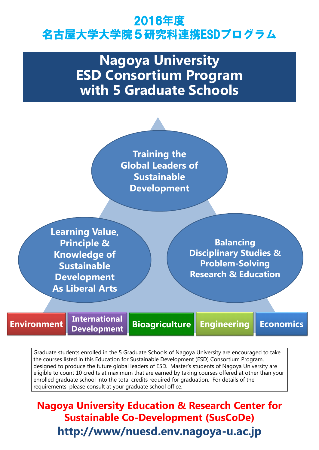## 2016年度 名古屋大学大学院5研究科連携ESDプログラム

# **Nagoya University ESD Consortium Program with 5 Graduate Schools**

**Balancing Disciplinary Studies & Problem-Solving Research & Education**

**Training the Global Leaders of Sustainable Development** 

### **http://www/nuesd.env.nagoya-u.ac.jp Nagoya University Education & Research Center for Sustainable Co-Development (SusCoDe)**



Graduate students enrolled in the 5 Graduate Schools of Nagoya University are encouraged to take the courses listed in this Education for Sustainable Development (ESD) Consortium Program, designed to produce the future global leaders of ESD. Master's students of Nagoya University are eligible to count 10 credits at maximum that are earned by taking courses offered at other than your enrolled graduate school into the total credits required for graduation. For details of the requirements, please consult at your graduate school office.

**Learning Value, Principle & Knowledge of Sustainable Development**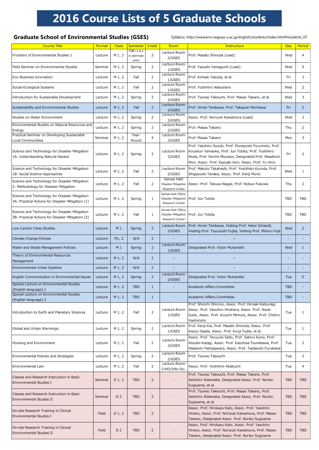### **2016 Course Lists of 5 Graduate Schools**

#### Graduate School of Environmental Studies (GSES) Syllabus: http://www.env.nagoya-u.ac.jp/english/students/index.html#students\_07

| <b>Course Title</b>                                                                                 | Format  | <b>Class</b>   | <b>Semester</b>                      | Credit         | Room                                  | <b>Instructors</b>                                                                                                                                                                                                               | Day        | Period         |
|-----------------------------------------------------------------------------------------------------|---------|----------------|--------------------------------------|----------------|---------------------------------------|----------------------------------------------------------------------------------------------------------------------------------------------------------------------------------------------------------------------------------|------------|----------------|
| Frontiers of Environmental Studies 1                                                                | Lecture | $M_1, 2$       | Fall (1 & 2<br>in alternate<br>year) | $\overline{2}$ | Lecture Room<br>2/GSES                | Prof. Masato Shinoda (Lead)                                                                                                                                                                                                      | Wed        | 4              |
| Field Seminar on Environmental Studies                                                              | Seminar | $M_1, 2$       | Spring                               | $\overline{2}$ | Lecture Room<br>1/GSES                | Prof. Yasushi Yamaguchi (Lead)                                                                                                                                                                                                   | Wed        | 5.             |
| Eco-Business Innovation                                                                             | Lecture | $M_1, 2$       | Fall                                 | $\overline{2}$ | Lecture Room<br>1/GSES                | Prof. Kimiaki Yasuda, et al.                                                                                                                                                                                                     | Fri        | 3              |
| Social-Ecological Systems                                                                           | Lecture | $M_1, 2$       | Fall                                 | $\overline{2}$ | Lecture Room<br>1/GSES                | Prof. Yoshihiro Natsuhara                                                                                                                                                                                                        | Wed        | $\overline{2}$ |
| Introduction for Sustainable Development                                                            | Lecture | $M_1, 2$       | Spring                               | $\overline{2}$ | Lecture Room<br>3/GSES                | Prof. Tsuneo Takeuchi, Prof. Masao Takano, et al.                                                                                                                                                                                | Wed        | 3              |
| Sustainability and Environmental Studies                                                            | Lecture | $M_1, 2$       | Fall                                 | $\overline{2}$ | Lecture Room<br>2/GSES                | Prof. Hiroki Tanikawa, Prof. Takayuki Morikawa                                                                                                                                                                                   | Fri        | 2 <sup>1</sup> |
| Studies on Water Environment                                                                        | Lecture | $M_1, 2$       | Spring                               | $\overline{2}$ | Lecture Room<br>3/GSES                | Assoc. Prof. Noriyuki Kawamura (Lead)                                                                                                                                                                                            | Wed        | $\overline{2}$ |
| Environmental Studies on Natural Resources and<br>Energy                                            | Lecture | $M_1, 2$       | Spring                               | $\overline{2}$ | Lecture Room<br>2/GSES                | Prof. Masao Takano                                                                                                                                                                                                               | Thu        | $\overline{2}$ |
| Practical Seminar on Developing Sustainable<br><b>Local Communities</b>                             | Seminar | $M_1, 2$       | Year-<br>Round                       | $\overline{4}$ | Lecture Room<br>3/GSES                | Prof. Masao Takano                                                                                                                                                                                                               | Mon        | 3              |
| Science and Technology for Disaster Mitigation<br>1A: Understanding Natural Hazard                  | Lecture | $M_1, 2$       | Spring                               | $\overline{2}$ | Lecture Room<br>3/GSES                | Prof. Yasuhiro Suzuki, Prof. Muneyoshi Furumoto, Prof.<br>Koushun Yamaoka, Prof. Jun Tobita, Prof. Toshihiro<br>Noda, Prof. Norimi Mizutani, Designated Prof. Masafumi<br>Mori, Assoc. Prof. Kazuaki Hori, Assoc. Prof. Yu Hiroi | Fri        | 2              |
| Science and Technology for Disaster Mitigation<br>1B: Social Science Approaches                     | Lecture | $M_1, 2$       | Fall                                 | $\overline{2}$ | Lecture Room<br>2/GSES                | Prof. Makoto Takahashi, Prof. Yoshihiko Kuroda, Prof.<br>Shigeyoshi Tanaka, Assoc. Prof. Kenji Muroi                                                                                                                             | Wed        |                |
| Science and Technology for Disaster Mitigation<br>2: Methodology for Disaster Mitigation            | Lecture | $M_1, 2$       | Fall                                 |                | Gensai Hall/<br>Research Center       | Disaster Mitigation   Assoc. Prof. Takuya Nagae, Prof. Nobuo Fukuwa                                                                                                                                                              | Thu        |                |
| Science and Technology for Disaster Mitigation<br>3A: Practical Actions for Disaster Mitigation (1) | Lecture | $M_1, 2$       | Spring                               | $\mathbf{1}$   | Gensai Hall (TBD)/<br>Research Center | Disaster Mitigation   Prof. Jun Tobita                                                                                                                                                                                           | <b>TBD</b> | <b>TBD</b>     |
| Science and Technology for Disaster Mitigation<br>3B: Practical Actions for Disaster Mitigation (2) | Lecture | $M_1, 2$       | Fall                                 | $\mathbf 1$    | Gensai Hall (TBD)/<br>Research Center | Disaster Mitigation   Prof. Jun Tobita                                                                                                                                                                                           | <b>TBD</b> | <b>TBD</b>     |
| Low Carbon Cities Studies                                                                           | Lecture | M <sub>1</sub> | Spring                               | $\overline{2}$ | Lecture Room<br>2/GSES                | Prof. Hiroki Tanikawa, Visiting Prof. Heinz Schandl,<br>Visiting Prof. Tsyuyoshi Fujita, Visiting Prof. Minoru Fujii                                                                                                             | Wed        | $\overline{2}$ |
| Climate Change Policies                                                                             | Lecture | M1, 2          | N/A                                  | $\overline{2}$ |                                       |                                                                                                                                                                                                                                  |            |                |
| Water and Waste Management Policies                                                                 | Lecture | M <sub>1</sub> | Spring                               | $\overline{2}$ | Lecture Room<br>1/GSES                | Designated Prof. Victor Muhandiki                                                                                                                                                                                                | Wed        |                |
| Theory of Environmental Resources<br>Management                                                     | Lecture | $M_1, 2$       | N/A                                  | $\overline{2}$ |                                       |                                                                                                                                                                                                                                  |            |                |
| <b>Environmental Urban Systems</b>                                                                  | Lecture | $M_1, 2$       | N/A                                  | $\overline{2}$ |                                       |                                                                                                                                                                                                                                  |            |                |
| English Communication in Environmental Issues                                                       | Lecture | $M_1, 2$       | Spring                               | $\overline{2}$ | Lecture Room<br>2/GSES                | Designated Prof. Victor Muhandiki                                                                                                                                                                                                | Tue        | 5              |
| Special Lecture on Environmental Studies<br>(English language) 1                                    | Lecture | $M_1, 2$       | <b>TBD</b>                           | 1              |                                       | Academic Affairs Committee                                                                                                                                                                                                       | <b>TBD</b> |                |
| Special Lecture on Environmental Studies<br>(English language) 2                                    | Lecture | $M_1, 2$       | <b>TBD</b>                           | 1              |                                       | Academic Affairs Committee                                                                                                                                                                                                       | <b>TBD</b> |                |
| Introduction to Earth and Planetary Sciences                                                        | Lecture | $M_1, 2$       | Fall                                 | $\overline{2}$ | Lecture Room<br>1/GSES                | Prof. Shinichi Shirono, Assoc. Prof. Hiroaki Katsuragi,<br>Assoc. Prof. Yasuhiro Hirahara, Assoc. Prof. Itsuki<br>Sudo, Assoc. Prof. Kouichi Mimura, Assoc. Prof. Chihiro<br>Hashimoto                                           | Tue        |                |
| Global and Urban Warmings                                                                           | Lecture | $M_1, 2$       | Spring                               | $\overline{2}$ | Lecture Room<br>1/GSES                | Prof. Kenji Kai, Prof. Masato Shinoda, Assoc. Prof.<br>Kazuo Osada, Assoc. Prof. Kouji Fujita, et al.                                                                                                                            | Tue        |                |
| Housing and Environment                                                                             | Lecture | $M_1, 2$       | Fall                                 | $\overline{2}$ | Lecture Room<br>3/GSES                | Assoc. Prof. Teruyuki Saito, Prof. Satoru Kuno, Prof.<br>Atsushi Katagi, Assoc. Prof. Kazuhisa Tsunekawa, Prof.<br>Masaomi Teshigawara, Assoc. Prof. Tadatoshi Furukawa                                                          | Tue        |                |
| Environmental Policies and Strategies                                                               | Lecture | $M_1, 2$       | Spring                               | $\overline{2}$ | Lecture Room<br>2/GSES                | Prof. Tsuneo Takeuchi                                                                                                                                                                                                            | Tue        | 3              |
| Environmental Law                                                                                   | Lecture | $M_1, 2$       | Fall                                 | $\overline{2}$ | Lecture Room<br>C445/Info-Sci.        | Assoc. Prof. Yoshihiro Akabuchi                                                                                                                                                                                                  | Tue        | 4              |
| <b>Classes and Research Instruction in Basic</b><br><b>Environmental Studies I</b>                  | Seminar | $D_1, 2$       | <b>TBD</b>                           | $\overline{2}$ |                                       | Prof. Tsuneo Takeuchi, Prof. Masao Takano, Prof.<br>Seiichiro Watanabe, Designated Assoc. Prof. Noriko<br>Sugiyama, et al.                                                                                                       | <b>TBD</b> | <b>TBD</b>     |
| Classes and Research Instruction in Basic<br><b>Environmental Studies II</b>                        | Seminar | D <sub>2</sub> | <b>TBD</b>                           | $\overline{2}$ |                                       | Prof. Tsuneo Takeuchi, Prof. Masao Takano, Prof.<br>Seiichiro Watanabe, Designated Assoc. Prof. Noriko<br>Sugiyama, et al.                                                                                                       | <b>TBD</b> | <b>TBD</b>     |
| On-site Research Training in Clinical<br><b>Environmental Studies I</b>                             | Field   | $D_1, 2$       | <b>TBD</b>                           | $\overline{2}$ |                                       | Assoc. Prof. Hirokazu Kato, Assoc. Prof. Yasuhiro<br>Hirano, Assoc. Prof. Noriyuki Kawamura, Prof. Masao<br>Takano, Designated Assoc. Prof. Noriko Sugiyama                                                                      | <b>TBD</b> | <b>TBD</b>     |
| On-site Research Training in Clinical<br><b>Environmental Studies II</b>                            | Field   | D <sub>2</sub> | <b>TBD</b>                           | $\overline{2}$ |                                       | Assoc. Prof. Hirokazu Kato, Assoc. Prof. Yasuhiro<br>Hirano, Assoc. Prof. Noriyuki Kawamura, Prof. Masao<br>Takano, Designated Assoc. Prof. Noriko Sugiyama                                                                      | <b>TBD</b> | <b>TBD</b>     |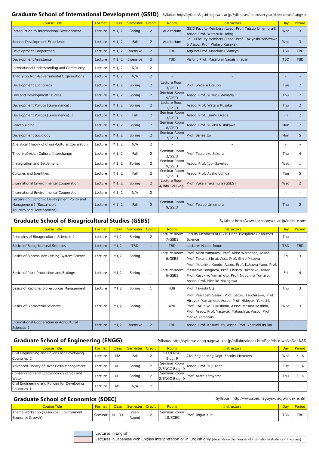| <b>Course Title</b>                                     | Format  | <b>Class</b> | <b>Semester</b> | Credit         | Room                   | <b>Instructors</b>                                                                                                                                                                                                                         | <b>Day</b> | Period     |
|---------------------------------------------------------|---------|--------------|-----------------|----------------|------------------------|--------------------------------------------------------------------------------------------------------------------------------------------------------------------------------------------------------------------------------------------|------------|------------|
| Principles of Bioagricultural Sciences I                | Lecture | M1,2         | Spring          | $\overline{2}$ | Lecture Room<br>7/GSBS | Faculty Members of GSBS Dept. Biosphere Resources<br>Science                                                                                                                                                                               | Thu        |            |
| <b>Basics of Bioagricultural Sciences</b>               | Lecture | M1,2         | <b>TBD</b>      |                | <b>TBD</b>             | Lecturer Naoko Inoue                                                                                                                                                                                                                       | <b>TBD</b> | <b>TBD</b> |
| Basics of Bioresource Cycling System Science            | Lecture | M1,2         | Spring          |                | Lecture Room<br>6/GSBS | Prof. Akira Yamauchi, Prof. Akira Watanabe, Assoc.<br>Prof. Takanori Imai, Asst. Prof. Shiro Mitsuya                                                                                                                                       | Fri        | 3          |
| Basics of Plant Production and Ecology                  | Lecture | M1,2         | Spring          |                | Lecture Room<br>6/GSBS | Prof. Motohiko Kondo, Assoc. Prof. Katsuya Yano, Prof.<br>Mitsutaka Taniguchi, Prof. Chisato Takenaka, Assoc.<br>Prof. Kazukiyo Yamamoto, Prof. Nobuhiro Tomaru,<br>Assoc. Prof. Michiko Nakagawa                                          | Fri        |            |
| Basics of Regional Bioresources Management              | Lecture | M1,2         | Spring          |                | 438                    | Prof. Takeshi Ota                                                                                                                                                                                                                          | Thu        | 3          |
| <b>Basics of Biomaterial Sciences</b>                   | Lecture | M1,2         | Spring          |                | 470                    | Prof. Yasutoshi Sasaki, Prof. Satoru Tsuchikawa, Prof.<br>Hiroyuki Yamamoto, Assoc. Prof. Hideyuki Yokochi,<br>Prof. Kazuhiko Fukushima, Assoc. Masato Yoshida,<br>Prof. Assoc. Prof. Yasuyuki Matsushita, Assoc. Prof.<br>Mariko Yamazaki | Wed        | 3.         |
| International Cooperation in Agricultural<br>Sciences I | Lecture | M1,2         | Intensive       | $\overline{2}$ | <b>TBD</b>             | Assoc. Prof. Kasumi Ito, Assoc. Prof. Yoshiaki Inukai                                                                                                                                                                                      |            |            |

#### Graduate School of Engineering (ENGG) Syllabus: http://syllabus.engg.nagoya-u.ac.jp/syllabus/index.html?gcf=hcoJwpNbDq4%3D

| Course Title                                         | <mark>Forma</mark> . |         | Semester   Credit | Room         | Instructors      | Day |            |
|------------------------------------------------------|----------------------|---------|-------------------|--------------|------------------|-----|------------|
| Theme Workshop (Resource $\cdot$ Environment $\cdot$ | Seminar              | $M1-D3$ | Year-             | Seminar Room | Prof. Jinjun Xue | TBD | <b>TDD</b> |
| Economic Growth)                                     |                      |         | Round             | 18/SOEC      |                  |     |            |

| Lectures in English                                                                                                                 |
|-------------------------------------------------------------------------------------------------------------------------------------|
| Lectures in Japanese with English interpretation or in English only (depends on the number of international students in the class). |

#### Graduate School of International Development (GSID) Syllabus: http://syllabus3.gsid.nagoya-u.ac.jp/Syllabuses/index/sort:year/direction:asc?lang=en

| <b>Course Title</b>                                                                                 | Format  | <b>Class</b> | Semester  | Credit         | Room                             | Instructors                                                                           | Day                      | Period         |
|-----------------------------------------------------------------------------------------------------|---------|--------------|-----------|----------------|----------------------------------|---------------------------------------------------------------------------------------|--------------------------|----------------|
| Introduction to International Development                                                           | Lecture | $M_1, 2$     | Spring    | $\overline{2}$ | Auditorium                       | GSID Faculty Members (Lead: Prof. Tetsuo Umemura &<br>Assoc. Prof. Wataru Kusaka)     | Wed                      | 3              |
| Japan's Development Experience                                                                      | Lecture | $M_1, 2$     | Fall      | $\overline{2}$ | Auditorium                       | GSID Faculty Members (Lead: Prof. Takiyoshi Yonezawa<br>& Assoc. Prof. Wataru Kusaka) | Wed                      | 3              |
| Development Cooperation                                                                             | Lecture | $M_1, 2$     | Intensive | $\overline{2}$ | <b>TBD</b>                       | Adjunct Prof. Masakazu Someya                                                         | <b>TBD</b>               | <b>TBD</b>     |
| Development Assistance                                                                              | Lecture | $M_1, 2$     | Intensive | $\overline{2}$ | <b>TBD</b>                       | Visiting Prof. Masafumi Nagaishi, et al.                                              | <b>TBD</b>               | <b>TBD</b>     |
| International Understanding and Community                                                           | Lecture | $M_1, 2$     | N/A       | 2              |                                  |                                                                                       |                          |                |
| Theory on Non-Governmental Organizations                                                            | Lecture | $M_1, 2$     | N/A       | $\overline{2}$ |                                  |                                                                                       |                          |                |
| Development Economics                                                                               | Lecture | $M_1, 2$     | Spring    | $\overline{2}$ | Lecture Room<br>3/GSID           | Prof. Shigeru Otsubo                                                                  | Tue                      | 2              |
| Law and Development Studies                                                                         | Lecture | $M_1, 2$     | Spring    | $\overline{2}$ | Seminar Room<br>9/GSID           | Assoc. Prof. Yuzuru Shimada                                                           | Thu                      | $\overline{2}$ |
| Development Politics (Governance) I                                                                 | Lecture | $M_1, 2$     | Spring    | $\overline{2}$ | Lecture Room<br>1/GSID           | Assoc. Prof. Wataru Kusaka                                                            | Thu                      | $\overline{2}$ |
| Development Politics (Governance) II                                                                | Lecture | $M_1, 2$     | Fall      | $\overline{2}$ | Seminar Room<br>3/GSID           | Assoc. Prof. Isamu Okada                                                              | Fri                      | $\overline{2}$ |
| Peacebuilding                                                                                       | Lecture | $M_1, 2$     | Spring    | $\overline{2}$ | Seminar Room<br>8/GSID           | Assoc. Prof. Yukiko Nishikawa                                                         | Mon                      | $\overline{2}$ |
| Development Sociology                                                                               | Lecture | $M_1, 2$     | Spring    | $\overline{2}$ | Seminar Room<br>7/GSID           | Prof. Sanae Ito                                                                       | Mon                      | 5              |
| Analytical Theory of Cross-Cultural Correlation                                                     | Lecture | $M_1, 2$     | N/A       | $\overline{2}$ |                                  |                                                                                       | $\overline{\phantom{a}}$ |                |
| Theory of Asian Cultural Interchange                                                                | Lecture | $M_1, 2$     | Fall      | $\overline{2}$ | Seminar Room<br>3/GSID           | Prof. Tatsuhiko Sakurai                                                               | Thu                      | 4              |
| Immigration and Settlement                                                                          | Lecture | $M_1, 2$     | Spring    | $\overline{2}$ | Seminar Room<br>9/GSID           | Assoc. Prof. Igor Saveliev                                                            | Wed                      |                |
| <b>Cultures and Identities</b>                                                                      | Lecture | $M_1, 2$     | Fall      | $\overline{2}$ | Seminar Room<br>5/GSID           | Assoc. Prof. Ayako Uchida                                                             | Tue                      | 5              |
| International Environmental Cooperation                                                             | Lecture | $M_1, 2$     | Spring    | $\overline{2}$ | Lecture Room<br>4/Info-Sci.Bldg. | Prof. Yukari Takamura (GSES)                                                          | Wed                      | 2              |
| International Environmental Cooperation                                                             | Lecture | $M_1, 2$     | N/A       | 2              |                                  |                                                                                       |                          |                |
| Lecture on Economic Development Policy and<br>Management I (Sustainable<br>Tourism and Development) | Lecture | $M_1, 2$     | Fall      | $\overline{2}$ | Seminar Room<br>9/GSID           | Prof. Tetsuo Umemura                                                                  | Thu                      | $\overline{2}$ |

#### Graduate School of Bioagricultural Studies (GSBS) Syllabus: http://www.agr.nagoya-u.ac.jp/index-e.html

| <b>Course Title</b>                           | Format  | <b>Class</b>   | Semester Credit | Room                     | <b>Instructors</b>                      | Day | Period         |
|-----------------------------------------------|---------|----------------|-----------------|--------------------------|-----------------------------------------|-----|----------------|
| Civil Engineering and Policies for Developing |         | M <sub>2</sub> | Fall            | 911/ENGG                 | Civil Engineering Dept. Faculty Members | Wed | 5, 6           |
| Countries II                                  | Lecture |                |                 | Bldg. 9                  |                                         |     |                |
| Advanced Theory of River Basin Management     | Lecture | M1             | Spring          | Seminar Room             | Assoc. Prof. Yuji Toda                  | īue | 3 <sub>1</sub> |
|                                               |         |                |                 | 2/ENGG Bldg. 9           |                                         |     |                |
| Conservation and Ecotoxicology of Soil and    | Lecture | M1             | Spring          | Seminar Room             | Prof. Arata Katayama                    | Thu | 3, 4           |
| Water                                         |         |                |                 | 2/ENGG Bldg. 9           |                                         |     |                |
| Civil Engineering and Policies for Developing |         | M1             | N/A             |                          |                                         |     |                |
| Countries I                                   | Lecture |                |                 | $\overline{\phantom{a}}$ | $\overline{\phantom{0}}$                |     |                |

#### Graduate School of Economics (SOEC) Syllabus: http://www.soec.nagoya-u.ac.jp/index\_e.html